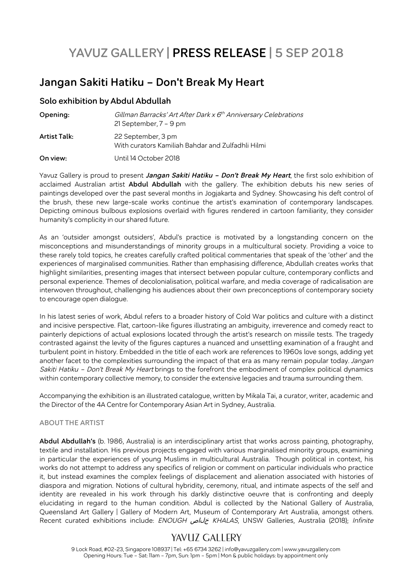# **YAVUZ GALLERY | PRESS RELEASE | 5 SEP 2018**

# **Jangan Sakiti Hatiku – Don't Break My Heart**

#### **Solo exhibition by Abdul Abdullah**

| Opening:            | Gillman Barracks' Art After Dark $x$ $6th$ Anniversary Celebrations<br>21 September, 7 - 9 pm |
|---------------------|-----------------------------------------------------------------------------------------------|
| <b>Artist Talk:</b> | 22 September, 3 pm<br>With curators Kamiliah Bahdar and Zulfadhli Hilmi                       |
| On view:            | Until 14 October 2018                                                                         |

Yavuz Gallery is proud to present **Jangan Sakiti Hatiku – Don't Break My Heart**, the first solo exhibition of acclaimed Australian artist **Abdul Abdullah** with the gallery. The exhibition debuts his new series of paintings developed over the past several months in Jogjakarta and Sydney. Showcasing his deft control of the brush, these new large-scale works continue the artist's examination of contemporary landscapes. Depicting ominous bulbous explosions overlaid with figures rendered in cartoon familiarity, they consider humanity's complicity in our shared future.

As an 'outsider amongst outsiders', Abdul's practice is motivated by a longstanding concern on the misconceptions and misunderstandings of minority groups in a multicultural society. Providing a voice to these rarely told topics, he creates carefully crafted political commentaries that speak of the 'other' and the experiences of marginalised communities. Rather than emphasising difference, Abdullah creates works that highlight similarities, presenting images that intersect between popular culture, contemporary conflicts and personal experience. Themes of decolonialisation, political warfare, and media coverage of radicalisation are interwoven throughout, challenging his audiences about their own preconceptions of contemporary society to encourage open dialogue.

In his latest series of work, Abdul refers to a broader history of Cold War politics and culture with a distinct and incisive perspective. Flat, cartoon-like figures illustrating an ambiguity, irreverence and comedy react to painterly depictions of actual explosions located through the artist's research on missile tests. The tragedy contrasted against the levity of the figures captures a nuanced and unsettling examination of a fraught and turbulent point in history. Embedded in the title of each work are references to 1960s love songs, adding yet another facet to the complexities surrounding the impact of that era as many remain popular today. Jangan Sakiti Hatiku - Don't Break My Heart brings to the forefront the embodiment of complex political dynamics within contemporary collective memory, to consider the extensive legacies and trauma surrounding them.

Accompanying the exhibition is an illustrated catalogue, written by Mikala Tai, a curator, writer, academic and the Director of the 4A Centre for Contemporary Asian Art in Sydney, Australia.

#### **ABOUT THE ARTIST**

**Abdul Abdullah's** (b. 1986, Australia) is an interdisciplinary artist that works across painting, photography, textile and installation. His previous projects engaged with various marginalised minority groups, examining in particular the experiences of young Muslims in multicultural Australia. Though political in context, his works do not attempt to address any specifics of religion or comment on particular individuals who practice it, but instead examines the complex feelings of displacement and alienation associated with histories of diaspora and migration. Notions of cultural hybridity, ceremony, ritual, and intimate aspects of the self and identity are revealed in his work through his darkly distinctive oeuvre that is confronting and deeply elucidating in regard to the human condition. Abdul is collected by the National Gallery of Australia, Queensland Art Gallery | Gallery of Modern Art, Museum of Contemporary Art Australia, amongst others. Recent curated exhibitions include: ENOUGH خلاص KHALAS, UNSW Galleries, Australia (2018); Infinite

## YAVUZ GALLERY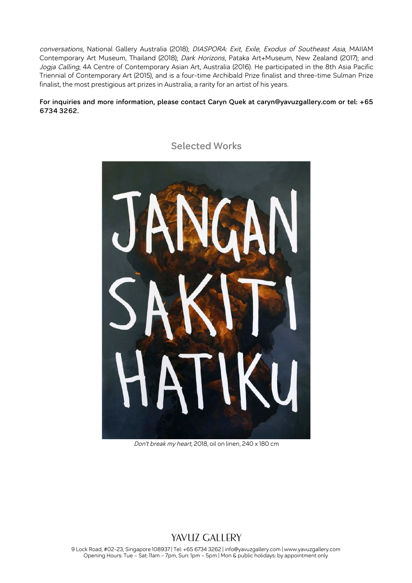conversations, National Gallery Australia (2018); DIASPORA: Exit, Exile, Exodus of Southeast Asia, MAIIAM Contemporary Art Museum, Thailand (2018); Dark Horizons, Pataka Art+Museum, New Zealand (2017); and Jogja Calling, 4A Centre of Contemporary Asian Art, Australia (2016). He participated in the 8th Asia Pacific Triennial of Contemporary Art (2015), and is a four-time Archibald Prize finalist and three-time Sulman Prize finalist, the most prestigious art prizes in Australia, a rarity for an artist of his years.

#### **For inquiries and more information, please contact Caryn Quek at caryn@yavuzgallery.com or tel: +65 6734 3262.**



### **Selected Works**

Don't break my heart, 2018, oil on linen, 240 x 180 cm

### YAVUZ GALLERY

9 Lock Road, #02-23, Singapore 108937 | Tel: +65 6734 3262 | info@yavuzgallery.com | www.yavuzgallery.com Opening Hours: Tue – Sat: 11am – 7pm, Sun: 1pm – 5pm | Mon & public holidays: by appointment only